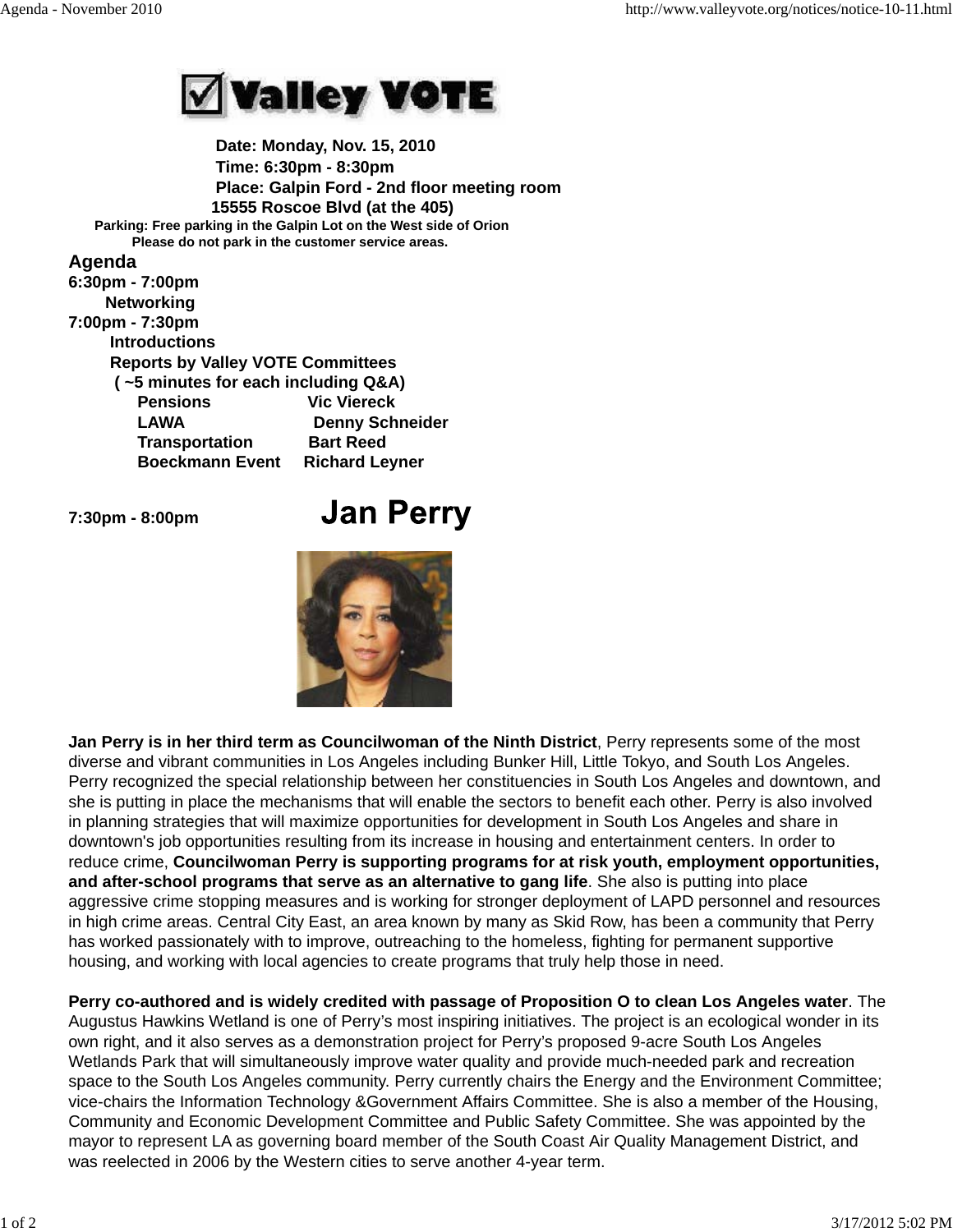

 **Date: Monday, Nov. 15, 2010 Time: 6:30pm - 8:30pm Place: Galpin Ford - 2nd floor meeting room 15555 Roscoe Blvd (at the 405) Parking: Free parking in the Galpin Lot on the West side of Orion Please do not park in the customer service areas.**

**Agenda**

| 6:30pm - 7:00pm                          |                        |
|------------------------------------------|------------------------|
| <b>Networking</b>                        |                        |
| 7:00pm - 7:30pm                          |                        |
| <b>Introductions</b>                     |                        |
| <b>Reports by Valley VOTE Committees</b> |                        |
| (~5 minutes for each including Q&A)      |                        |
| <b>Pensions</b>                          | <b>Vic Viereck</b>     |
| LAWA                                     | <b>Denny Schneider</b> |
| <b>Transportation</b>                    | <b>Bart Reed</b>       |
| <b>Boeckmann Event</b>                   | <b>Richard Leyner</b>  |

## **7:30pm - 8:00pm**

## **Jan Perry**



**Jan Perry is in her third term as Councilwoman of the Ninth District**, Perry represents some of the most diverse and vibrant communities in Los Angeles including Bunker Hill, Little Tokyo, and South Los Angeles. Perry recognized the special relationship between her constituencies in South Los Angeles and downtown, and she is putting in place the mechanisms that will enable the sectors to benefit each other. Perry is also involved in planning strategies that will maximize opportunities for development in South Los Angeles and share in downtown's job opportunities resulting from its increase in housing and entertainment centers. In order to reduce crime, **Councilwoman Perry is supporting programs for at risk youth, employment opportunities, and after-school programs that serve as an alternative to gang life**. She also is putting into place aggressive crime stopping measures and is working for stronger deployment of LAPD personnel and resources in high crime areas. Central City East, an area known by many as Skid Row, has been a community that Perry has worked passionately with to improve, outreaching to the homeless, fighting for permanent supportive housing, and working with local agencies to create programs that truly help those in need.

**Perry co-authored and is widely credited with passage of Proposition O to clean Los Angeles water**. The Augustus Hawkins Wetland is one of Perry's most inspiring initiatives. The project is an ecological wonder in its own right, and it also serves as a demonstration project for Perry's proposed 9-acre South Los Angeles Wetlands Park that will simultaneously improve water quality and provide much-needed park and recreation space to the South Los Angeles community. Perry currently chairs the Energy and the Environment Committee; vice-chairs the Information Technology &Government Affairs Committee. She is also a member of the Housing, Community and Economic Development Committee and Public Safety Committee. She was appointed by the mayor to represent LA as governing board member of the South Coast Air Quality Management District, and was reelected in 2006 by the Western cities to serve another 4-year term.